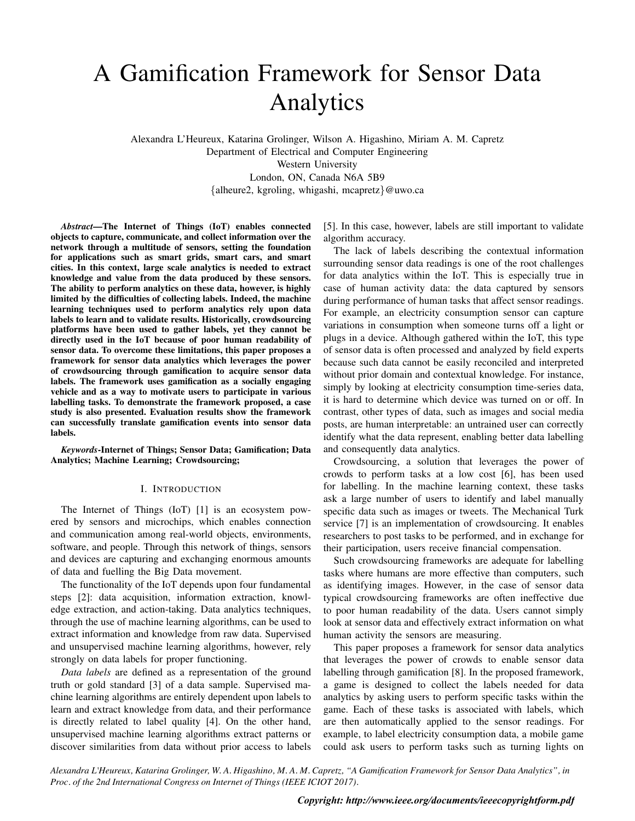# A Gamification Framework for Sensor Data Analytics

Alexandra L'Heureux, Katarina Grolinger, Wilson A. Higashino, Miriam A. M. Capretz Department of Electrical and Computer Engineering Western University London, ON, Canada N6A 5B9 *{*alheure2, kgroling, whigashi, mcapretz*}*@uwo.ca

*Abstract*—The Internet of Things (IoT) enables connected objects to capture, communicate, and collect information over the network through a multitude of sensors, setting the foundation for applications such as smart grids, smart cars, and smart cities. In this context, large scale analytics is needed to extract knowledge and value from the data produced by these sensors. The ability to perform analytics on these data, however, is highly limited by the difficulties of collecting labels. Indeed, the machine learning techniques used to perform analytics rely upon data labels to learn and to validate results. Historically, crowdsourcing platforms have been used to gather labels, yet they cannot be directly used in the IoT because of poor human readability of sensor data. To overcome these limitations, this paper proposes a framework for sensor data analytics which leverages the power of crowdsourcing through gamification to acquire sensor data labels. The framework uses gamification as a socially engaging vehicle and as a way to motivate users to participate in various labelling tasks. To demonstrate the framework proposed, a case study is also presented. Evaluation results show the framework can successfully translate gamification events into sensor data labels.

*Keywords*-Internet of Things; Sensor Data; Gamification; Data Analytics; Machine Learning; Crowdsourcing;

# I. INTRODUCTION

The Internet of Things (IoT) [1] is an ecosystem powered by sensors and microchips, which enables connection and communication among real-world objects, environments, software, and people. Through this network of things, sensors and devices are capturing and exchanging enormous amounts of data and fuelling the Big Data movement.

The functionality of the IoT depends upon four fundamental steps [2]: data acquisition, information extraction, knowledge extraction, and action-taking. Data analytics techniques, through the use of machine learning algorithms, can be used to extract information and knowledge from raw data. Supervised and unsupervised machine learning algorithms, however, rely strongly on data labels for proper functioning.

*Data labels* are defined as a representation of the ground truth or gold standard [3] of a data sample. Supervised machine learning algorithms are entirely dependent upon labels to learn and extract knowledge from data, and their performance is directly related to label quality [4]. On the other hand, unsupervised machine learning algorithms extract patterns or discover similarities from data without prior access to labels [5]. In this case, however, labels are still important to validate algorithm accuracy.

The lack of labels describing the contextual information surrounding sensor data readings is one of the root challenges for data analytics within the IoT. This is especially true in case of human activity data: the data captured by sensors during performance of human tasks that affect sensor readings. For example, an electricity consumption sensor can capture variations in consumption when someone turns off a light or plugs in a device. Although gathered within the IoT, this type of sensor data is often processed and analyzed by field experts because such data cannot be easily reconciled and interpreted without prior domain and contextual knowledge. For instance, simply by looking at electricity consumption time-series data, it is hard to determine which device was turned on or off. In contrast, other types of data, such as images and social media posts, are human interpretable: an untrained user can correctly identify what the data represent, enabling better data labelling and consequently data analytics.

Crowdsourcing, a solution that leverages the power of crowds to perform tasks at a low cost [6], has been used for labelling. In the machine learning context, these tasks ask a large number of users to identify and label manually specific data such as images or tweets. The Mechanical Turk service [7] is an implementation of crowdsourcing. It enables researchers to post tasks to be performed, and in exchange for their participation, users receive financial compensation.

Such crowdsourcing frameworks are adequate for labelling tasks where humans are more effective than computers, such as identifying images. However, in the case of sensor data typical crowdsourcing frameworks are often ineffective due to poor human readability of the data. Users cannot simply look at sensor data and effectively extract information on what human activity the sensors are measuring.

This paper proposes a framework for sensor data analytics that leverages the power of crowds to enable sensor data labelling through gamification [8]. In the proposed framework, a game is designed to collect the labels needed for data analytics by asking users to perform specific tasks within the game. Each of these tasks is associated with labels, which are then automatically applied to the sensor readings. For example, to label electricity consumption data, a mobile game could ask users to perform tasks such as turning lights on

*Alexandra L'Heureux, Katarina Grolinger, W. A. Higashino, M. A. M. Capretz, "A Gamification Framework for Sensor Data Analytics", in Proc. of the 2nd International Congress on Internet of Things (IEEE ICIOT 2017).*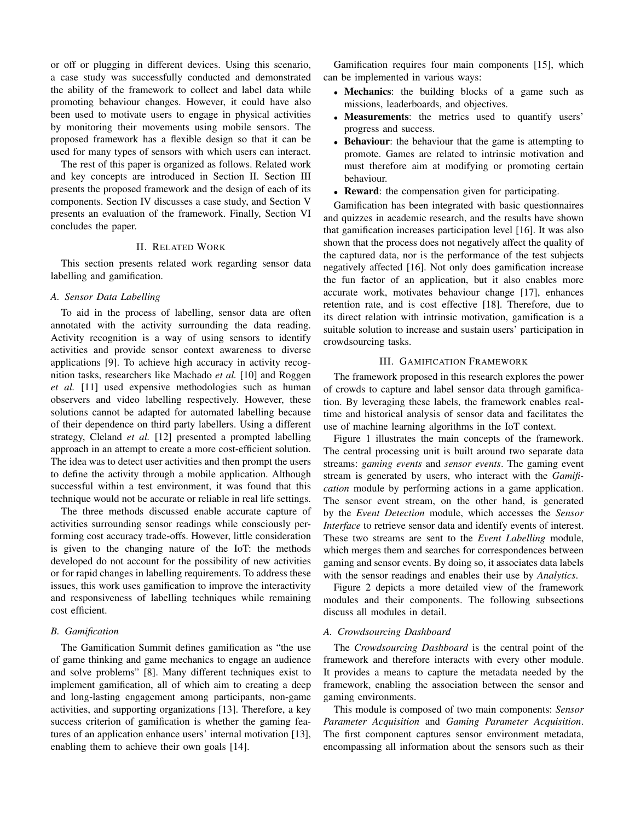or off or plugging in different devices. Using this scenario, a case study was successfully conducted and demonstrated the ability of the framework to collect and label data while promoting behaviour changes. However, it could have also been used to motivate users to engage in physical activities by monitoring their movements using mobile sensors. The proposed framework has a flexible design so that it can be used for many types of sensors with which users can interact.

The rest of this paper is organized as follows. Related work and key concepts are introduced in Section II. Section III presents the proposed framework and the design of each of its components. Section IV discusses a case study, and Section V presents an evaluation of the framework. Finally, Section VI concludes the paper.

## II. RELATED WORK

This section presents related work regarding sensor data labelling and gamification.

# *A. Sensor Data Labelling*

To aid in the process of labelling, sensor data are often annotated with the activity surrounding the data reading. Activity recognition is a way of using sensors to identify activities and provide sensor context awareness to diverse applications [9]. To achieve high accuracy in activity recognition tasks, researchers like Machado *et al.* [10] and Roggen *et al.* [11] used expensive methodologies such as human observers and video labelling respectively. However, these solutions cannot be adapted for automated labelling because of their dependence on third party labellers. Using a different strategy, Cleland *et al.* [12] presented a prompted labelling approach in an attempt to create a more cost-efficient solution. The idea was to detect user activities and then prompt the users to define the activity through a mobile application. Although successful within a test environment, it was found that this technique would not be accurate or reliable in real life settings.

The three methods discussed enable accurate capture of activities surrounding sensor readings while consciously performing cost accuracy trade-offs. However, little consideration is given to the changing nature of the IoT: the methods developed do not account for the possibility of new activities or for rapid changes in labelling requirements. To address these issues, this work uses gamification to improve the interactivity and responsiveness of labelling techniques while remaining cost efficient.

# *B. Gamification*

The Gamification Summit defines gamification as "the use of game thinking and game mechanics to engage an audience and solve problems" [8]. Many different techniques exist to implement gamification, all of which aim to creating a deep and long-lasting engagement among participants, non-game activities, and supporting organizations [13]. Therefore, a key success criterion of gamification is whether the gaming features of an application enhance users' internal motivation [13], enabling them to achieve their own goals [14].

Gamification requires four main components [15], which can be implemented in various ways:

- *•* Mechanics: the building blocks of a game such as missions, leaderboards, and objectives.
- Measurements: the metrics used to quantify users' progress and success.
- *•* Behaviour: the behaviour that the game is attempting to promote. Games are related to intrinsic motivation and must therefore aim at modifying or promoting certain behaviour.
- **Reward:** the compensation given for participating.

Gamification has been integrated with basic questionnaires and quizzes in academic research, and the results have shown that gamification increases participation level [16]. It was also shown that the process does not negatively affect the quality of the captured data, nor is the performance of the test subjects negatively affected [16]. Not only does gamification increase the fun factor of an application, but it also enables more accurate work, motivates behaviour change [17], enhances retention rate, and is cost effective [18]. Therefore, due to its direct relation with intrinsic motivation, gamification is a suitable solution to increase and sustain users' participation in crowdsourcing tasks.

## III. GAMIFICATION FRAMEWORK

The framework proposed in this research explores the power of crowds to capture and label sensor data through gamification. By leveraging these labels, the framework enables realtime and historical analysis of sensor data and facilitates the use of machine learning algorithms in the IoT context.

Figure 1 illustrates the main concepts of the framework. The central processing unit is built around two separate data streams: *gaming events* and *sensor events*. The gaming event stream is generated by users, who interact with the *Gamification* module by performing actions in a game application. The sensor event stream, on the other hand, is generated by the *Event Detection* module, which accesses the *Sensor Interface* to retrieve sensor data and identify events of interest. These two streams are sent to the *Event Labelling* module, which merges them and searches for correspondences between gaming and sensor events. By doing so, it associates data labels with the sensor readings and enables their use by *Analytics*.

Figure 2 depicts a more detailed view of the framework modules and their components. The following subsections discuss all modules in detail.

# *A. Crowdsourcing Dashboard*

The *Crowdsourcing Dashboard* is the central point of the framework and therefore interacts with every other module. It provides a means to capture the metadata needed by the framework, enabling the association between the sensor and gaming environments.

This module is composed of two main components: *Sensor Parameter Acquisition* and *Gaming Parameter Acquisition*. The first component captures sensor environment metadata, encompassing all information about the sensors such as their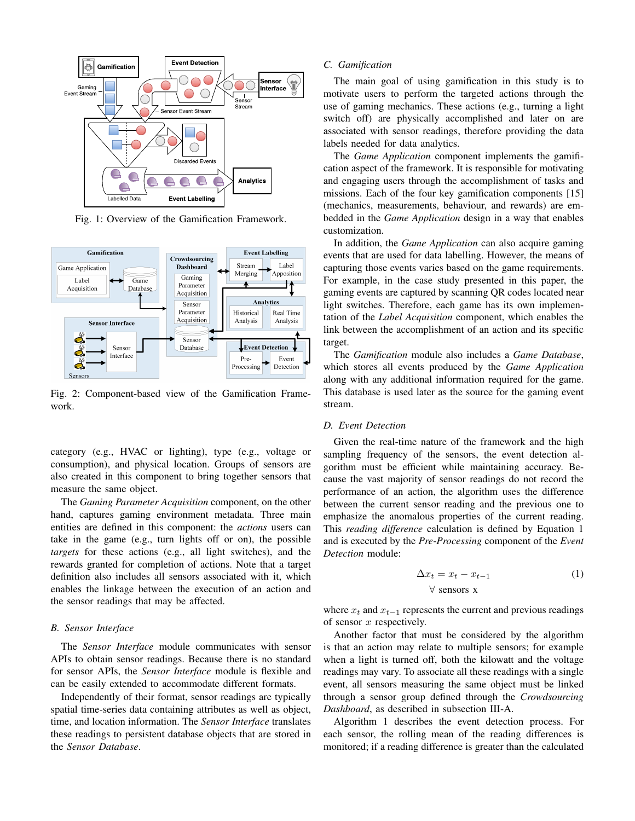

Fig. 1: Overview of the Gamification Framework.



Fig. 2: Component-based view of the Gamification Framework.

category (e.g., HVAC or lighting), type (e.g., voltage or consumption), and physical location. Groups of sensors are also created in this component to bring together sensors that measure the same object.

The *Gaming Parameter Acquisition* component, on the other hand, captures gaming environment metadata. Three main entities are defined in this component: the *actions* users can take in the game (e.g., turn lights off or on), the possible *targets* for these actions (e.g., all light switches), and the rewards granted for completion of actions. Note that a target definition also includes all sensors associated with it, which enables the linkage between the execution of an action and the sensor readings that may be affected.

#### *B. Sensor Interface*

The *Sensor Interface* module communicates with sensor APIs to obtain sensor readings. Because there is no standard for sensor APIs, the *Sensor Interface* module is flexible and can be easily extended to accommodate different formats.

Independently of their format, sensor readings are typically spatial time-series data containing attributes as well as object, time, and location information. The *Sensor Interface* translates these readings to persistent database objects that are stored in the *Sensor Database*.

#### *C. Gamification*

The main goal of using gamification in this study is to motivate users to perform the targeted actions through the use of gaming mechanics. These actions (e.g., turning a light switch off) are physically accomplished and later on are associated with sensor readings, therefore providing the data labels needed for data analytics.

The *Game Application* component implements the gamification aspect of the framework. It is responsible for motivating and engaging users through the accomplishment of tasks and missions. Each of the four key gamification components [15] (mechanics, measurements, behaviour, and rewards) are embedded in the *Game Application* design in a way that enables customization.

In addition, the *Game Application* can also acquire gaming events that are used for data labelling. However, the means of capturing those events varies based on the game requirements. For example, in the case study presented in this paper, the gaming events are captured by scanning QR codes located near light switches. Therefore, each game has its own implementation of the *Label Acquisition* component, which enables the link between the accomplishment of an action and its specific target.

The *Gamification* module also includes a *Game Database*, which stores all events produced by the *Game Application* along with any additional information required for the game. This database is used later as the source for the gaming event stream.

## *D. Event Detection*

Given the real-time nature of the framework and the high sampling frequency of the sensors, the event detection algorithm must be efficient while maintaining accuracy. Because the vast majority of sensor readings do not record the performance of an action, the algorithm uses the difference between the current sensor reading and the previous one to emphasize the anomalous properties of the current reading. This *reading difference* calculation is defined by Equation 1 and is executed by the *Pre-Processing* component of the *Event Detection* module:

$$
\Delta x_t = x_t - x_{t-1} \tag{1}
$$
\n
$$
\forall \text{ sensors } x
$$

where  $x_t$  and  $x_{t-1}$  represents the current and previous readings of sensor *x* respectively.

Another factor that must be considered by the algorithm is that an action may relate to multiple sensors; for example when a light is turned off, both the kilowatt and the voltage readings may vary. To associate all these readings with a single event, all sensors measuring the same object must be linked through a sensor group defined through the *Crowdsourcing Dashboard*, as described in subsection III-A.

Algorithm 1 describes the event detection process. For each sensor, the rolling mean of the reading differences is monitored; if a reading difference is greater than the calculated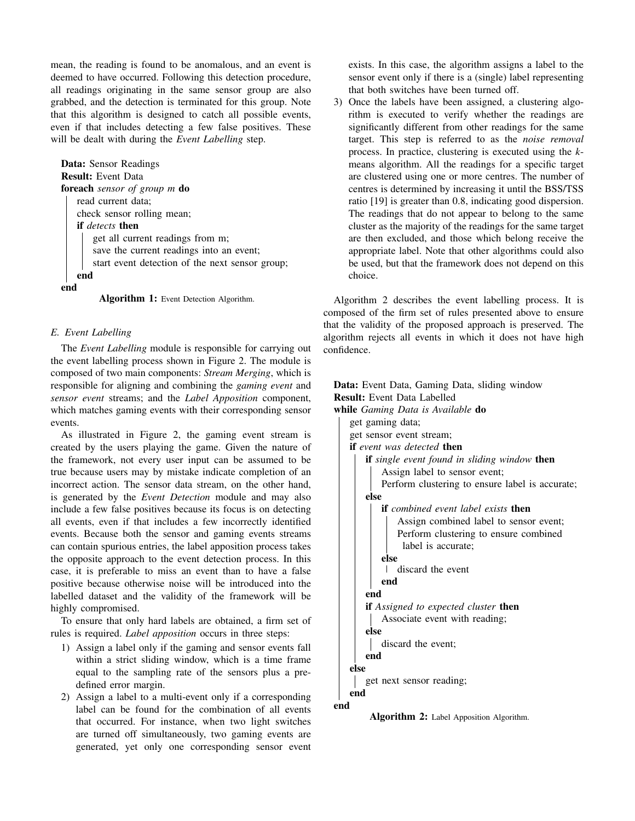mean, the reading is found to be anomalous, and an event is deemed to have occurred. Following this detection procedure, all readings originating in the same sensor group are also grabbed, and the detection is terminated for this group. Note that this algorithm is designed to catch all possible events, even if that includes detecting a few false positives. These will be dealt with during the *Event Labelling* step.

Data: Sensor Readings Result: Event Data foreach *sensor of group m* do read current data; check sensor rolling mean; if *detects* then get all current readings from m; save the current readings into an event; start event detection of the next sensor group; end

end

Algorithm 1: Event Detection Algorithm.

# *E. Event Labelling*

The *Event Labelling* module is responsible for carrying out the event labelling process shown in Figure 2. The module is composed of two main components: *Stream Merging*, which is responsible for aligning and combining the *gaming event* and *sensor event* streams; and the *Label Apposition* component, which matches gaming events with their corresponding sensor events.

As illustrated in Figure 2, the gaming event stream is created by the users playing the game. Given the nature of the framework, not every user input can be assumed to be true because users may by mistake indicate completion of an incorrect action. The sensor data stream, on the other hand, is generated by the *Event Detection* module and may also include a few false positives because its focus is on detecting all events, even if that includes a few incorrectly identified events. Because both the sensor and gaming events streams can contain spurious entries, the label apposition process takes the opposite approach to the event detection process. In this case, it is preferable to miss an event than to have a false positive because otherwise noise will be introduced into the labelled dataset and the validity of the framework will be highly compromised.

To ensure that only hard labels are obtained, a firm set of rules is required. *Label apposition* occurs in three steps:

- 1) Assign a label only if the gaming and sensor events fall within a strict sliding window, which is a time frame equal to the sampling rate of the sensors plus a predefined error margin.
- 2) Assign a label to a multi-event only if a corresponding label can be found for the combination of all events that occurred. For instance, when two light switches are turned off simultaneously, two gaming events are generated, yet only one corresponding sensor event

exists. In this case, the algorithm assigns a label to the sensor event only if there is a (single) label representing that both switches have been turned off.

3) Once the labels have been assigned, a clustering algorithm is executed to verify whether the readings are significantly different from other readings for the same target. This step is referred to as the *noise removal* process. In practice, clustering is executed using the *k*means algorithm. All the readings for a specific target are clustered using one or more centres. The number of centres is determined by increasing it until the BSS/TSS ratio [19] is greater than 0.8, indicating good dispersion. The readings that do not appear to belong to the same cluster as the majority of the readings for the same target are then excluded, and those which belong receive the appropriate label. Note that other algorithms could also be used, but that the framework does not depend on this choice.

Algorithm 2 describes the event labelling process. It is composed of the firm set of rules presented above to ensure that the validity of the proposed approach is preserved. The algorithm rejects all events in which it does not have high confidence.

Data: Event Data, Gaming Data, sliding window Result: Event Data Labelled while *Gaming Data is Available* do get gaming data; get sensor event stream; if *event was detected* then if *single event found in sliding window* then Assign label to sensor event; Perform clustering to ensure label is accurate; else if *combined event label exists* then Assign combined label to sensor event; Perform clustering to ensure combined label is accurate; else discard the event end end if *Assigned to expected cluster* then Associate event with reading; else discard the event; end else get next sensor reading; end end

Algorithm 2: Label Apposition Algorithm.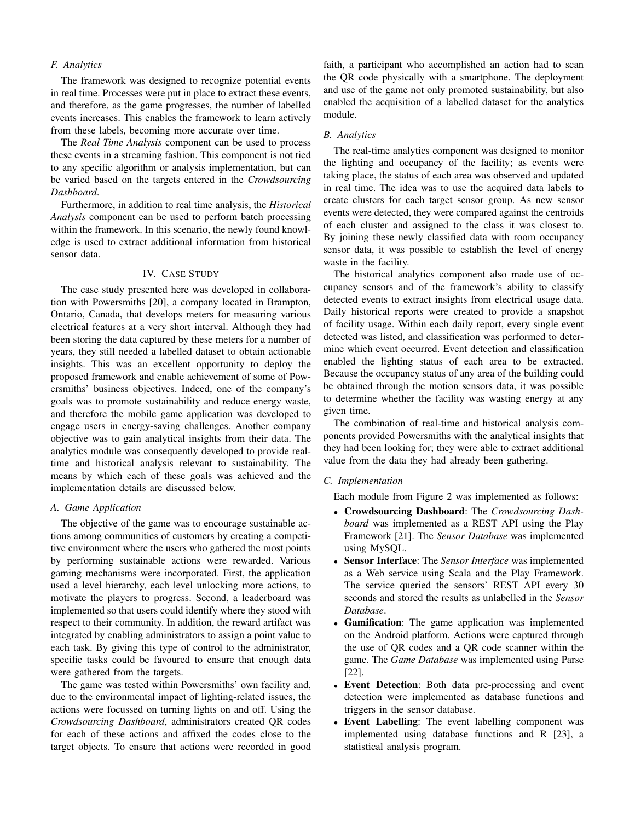## *F. Analytics*

The framework was designed to recognize potential events in real time. Processes were put in place to extract these events, and therefore, as the game progresses, the number of labelled events increases. This enables the framework to learn actively from these labels, becoming more accurate over time.

The *Real Time Analysis* component can be used to process these events in a streaming fashion. This component is not tied to any specific algorithm or analysis implementation, but can be varied based on the targets entered in the *Crowdsourcing Dashboard*.

Furthermore, in addition to real time analysis, the *Historical Analysis* component can be used to perform batch processing within the framework. In this scenario, the newly found knowledge is used to extract additional information from historical sensor data.

# IV. CASE STUDY

The case study presented here was developed in collaboration with Powersmiths [20], a company located in Brampton, Ontario, Canada, that develops meters for measuring various electrical features at a very short interval. Although they had been storing the data captured by these meters for a number of years, they still needed a labelled dataset to obtain actionable insights. This was an excellent opportunity to deploy the proposed framework and enable achievement of some of Powersmiths' business objectives. Indeed, one of the company's goals was to promote sustainability and reduce energy waste, and therefore the mobile game application was developed to engage users in energy-saving challenges. Another company objective was to gain analytical insights from their data. The analytics module was consequently developed to provide realtime and historical analysis relevant to sustainability. The means by which each of these goals was achieved and the implementation details are discussed below.

## *A. Game Application*

The objective of the game was to encourage sustainable actions among communities of customers by creating a competitive environment where the users who gathered the most points by performing sustainable actions were rewarded. Various gaming mechanisms were incorporated. First, the application used a level hierarchy, each level unlocking more actions, to motivate the players to progress. Second, a leaderboard was implemented so that users could identify where they stood with respect to their community. In addition, the reward artifact was integrated by enabling administrators to assign a point value to each task. By giving this type of control to the administrator, specific tasks could be favoured to ensure that enough data were gathered from the targets.

The game was tested within Powersmiths' own facility and, due to the environmental impact of lighting-related issues, the actions were focussed on turning lights on and off. Using the *Crowdsourcing Dashboard*, administrators created QR codes for each of these actions and affixed the codes close to the target objects. To ensure that actions were recorded in good

faith, a participant who accomplished an action had to scan the QR code physically with a smartphone. The deployment and use of the game not only promoted sustainability, but also enabled the acquisition of a labelled dataset for the analytics module.

## *B. Analytics*

The real-time analytics component was designed to monitor the lighting and occupancy of the facility; as events were taking place, the status of each area was observed and updated in real time. The idea was to use the acquired data labels to create clusters for each target sensor group. As new sensor events were detected, they were compared against the centroids of each cluster and assigned to the class it was closest to. By joining these newly classified data with room occupancy sensor data, it was possible to establish the level of energy waste in the facility.

The historical analytics component also made use of occupancy sensors and of the framework's ability to classify detected events to extract insights from electrical usage data. Daily historical reports were created to provide a snapshot of facility usage. Within each daily report, every single event detected was listed, and classification was performed to determine which event occurred. Event detection and classification enabled the lighting status of each area to be extracted. Because the occupancy status of any area of the building could be obtained through the motion sensors data, it was possible to determine whether the facility was wasting energy at any given time.

The combination of real-time and historical analysis components provided Powersmiths with the analytical insights that they had been looking for; they were able to extract additional value from the data they had already been gathering.

## *C. Implementation*

Each module from Figure 2 was implemented as follows:

- *•* Crowdsourcing Dashboard: The *Crowdsourcing Dashboard* was implemented as a REST API using the Play Framework [21]. The *Sensor Database* was implemented using MySQL.
- *•* Sensor Interface: The *Sensor Interface* was implemented as a Web service using Scala and the Play Framework. The service queried the sensors' REST API every 30 seconds and stored the results as unlabelled in the *Sensor Database*.
- *•* Gamification: The game application was implemented on the Android platform. Actions were captured through the use of QR codes and a QR code scanner within the game. The *Game Database* was implemented using Parse [22].
- *•* Event Detection: Both data pre-processing and event detection were implemented as database functions and triggers in the sensor database.
- **Event Labelling:** The event labelling component was implemented using database functions and R [23], a statistical analysis program.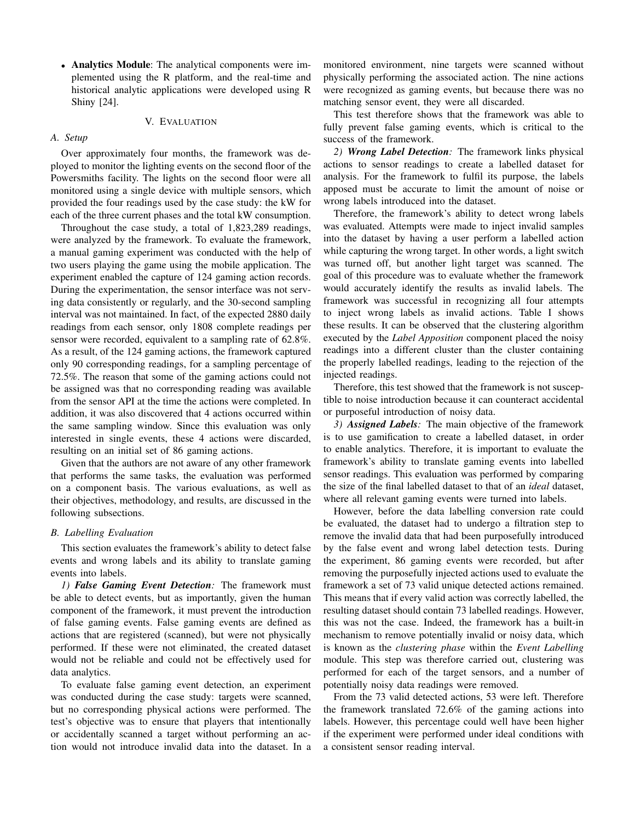• **Analytics Module**: The analytical components were implemented using the R platform, and the real-time and historical analytic applications were developed using R Shiny [24].

#### V. EVALUATION

# *A. Setup*

Over approximately four months, the framework was deployed to monitor the lighting events on the second floor of the Powersmiths facility. The lights on the second floor were all monitored using a single device with multiple sensors, which provided the four readings used by the case study: the kW for each of the three current phases and the total kW consumption.

Throughout the case study, a total of 1,823,289 readings, were analyzed by the framework. To evaluate the framework, a manual gaming experiment was conducted with the help of two users playing the game using the mobile application. The experiment enabled the capture of 124 gaming action records. During the experimentation, the sensor interface was not serving data consistently or regularly, and the 30-second sampling interval was not maintained. In fact, of the expected 2880 daily readings from each sensor, only 1808 complete readings per sensor were recorded, equivalent to a sampling rate of 62.8%. As a result, of the 124 gaming actions, the framework captured only 90 corresponding readings, for a sampling percentage of 72.5%. The reason that some of the gaming actions could not be assigned was that no corresponding reading was available from the sensor API at the time the actions were completed. In addition, it was also discovered that 4 actions occurred within the same sampling window. Since this evaluation was only interested in single events, these 4 actions were discarded, resulting on an initial set of 86 gaming actions.

Given that the authors are not aware of any other framework that performs the same tasks, the evaluation was performed on a component basis. The various evaluations, as well as their objectives, methodology, and results, are discussed in the following subsections.

#### *B. Labelling Evaluation*

This section evaluates the framework's ability to detect false events and wrong labels and its ability to translate gaming events into labels.

*1) False Gaming Event Detection:* The framework must be able to detect events, but as importantly, given the human component of the framework, it must prevent the introduction of false gaming events. False gaming events are defined as actions that are registered (scanned), but were not physically performed. If these were not eliminated, the created dataset would not be reliable and could not be effectively used for data analytics.

To evaluate false gaming event detection, an experiment was conducted during the case study: targets were scanned, but no corresponding physical actions were performed. The test's objective was to ensure that players that intentionally or accidentally scanned a target without performing an action would not introduce invalid data into the dataset. In a monitored environment, nine targets were scanned without physically performing the associated action. The nine actions were recognized as gaming events, but because there was no matching sensor event, they were all discarded.

This test therefore shows that the framework was able to fully prevent false gaming events, which is critical to the success of the framework.

*2) Wrong Label Detection:* The framework links physical actions to sensor readings to create a labelled dataset for analysis. For the framework to fulfil its purpose, the labels apposed must be accurate to limit the amount of noise or wrong labels introduced into the dataset.

Therefore, the framework's ability to detect wrong labels was evaluated. Attempts were made to inject invalid samples into the dataset by having a user perform a labelled action while capturing the wrong target. In other words, a light switch was turned off, but another light target was scanned. The goal of this procedure was to evaluate whether the framework would accurately identify the results as invalid labels. The framework was successful in recognizing all four attempts to inject wrong labels as invalid actions. Table I shows these results. It can be observed that the clustering algorithm executed by the *Label Apposition* component placed the noisy readings into a different cluster than the cluster containing the properly labelled readings, leading to the rejection of the injected readings.

Therefore, this test showed that the framework is not susceptible to noise introduction because it can counteract accidental or purposeful introduction of noisy data.

*3) Assigned Labels:* The main objective of the framework is to use gamification to create a labelled dataset, in order to enable analytics. Therefore, it is important to evaluate the framework's ability to translate gaming events into labelled sensor readings. This evaluation was performed by comparing the size of the final labelled dataset to that of an *ideal* dataset, where all relevant gaming events were turned into labels.

However, before the data labelling conversion rate could be evaluated, the dataset had to undergo a filtration step to remove the invalid data that had been purposefully introduced by the false event and wrong label detection tests. During the experiment, 86 gaming events were recorded, but after removing the purposefully injected actions used to evaluate the framework a set of 73 valid unique detected actions remained. This means that if every valid action was correctly labelled, the resulting dataset should contain 73 labelled readings. However, this was not the case. Indeed, the framework has a built-in mechanism to remove potentially invalid or noisy data, which is known as the *clustering phase* within the *Event Labelling* module. This step was therefore carried out, clustering was performed for each of the target sensors, and a number of potentially noisy data readings were removed.

From the 73 valid detected actions, 53 were left. Therefore the framework translated 72.6% of the gaming actions into labels. However, this percentage could well have been higher if the experiment were performed under ideal conditions with a consistent sensor reading interval.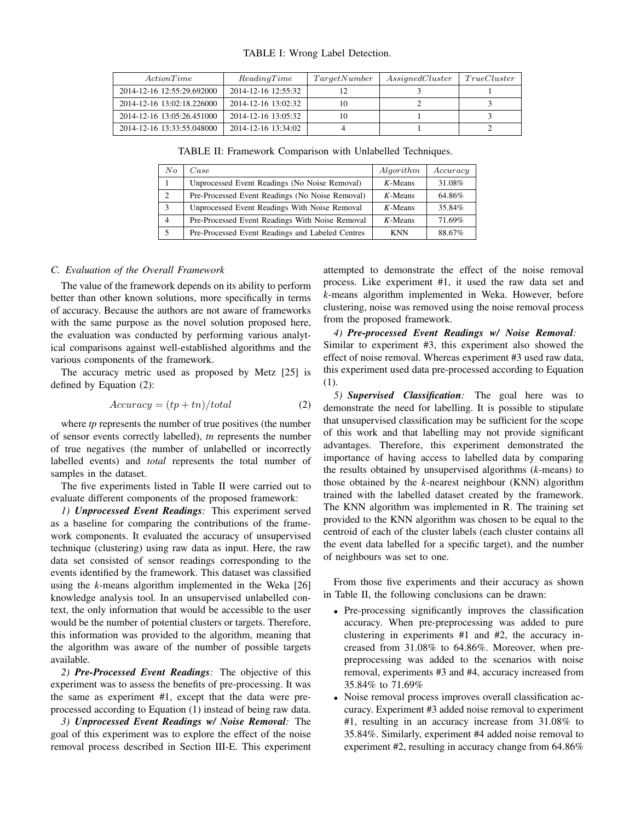TABLE I: Wrong Label Detection.

| <i>ActionTime</i>          | ReadingTime         | TargetNumber | AssignedCluster | TrueCluster |
|----------------------------|---------------------|--------------|-----------------|-------------|
| 2014-12-16 12:55:29.692000 | 2014-12-16 12:55:32 |              |                 |             |
| 2014-12-16 13:02:18.226000 | 2014-12-16 13:02:32 | 10           |                 |             |
| 2014-12-16 13:05:26.451000 | 2014-12-16 13:05:32 | 10           |                 |             |
| 2014-12-16 13:33:55.048000 | 2014-12-16 13:34:02 |              |                 |             |

TABLE II: Framework Comparison with Unlabelled Techniques.

| No             | Case                                             | Algorithm  | Accuracy |
|----------------|--------------------------------------------------|------------|----------|
|                | Unprocessed Event Readings (No Noise Removal)    | $K$ -Means | 31.08%   |
| 2              | Pre-Processed Event Readings (No Noise Removal)  | $K$ -Means | 64.86%   |
| 3              | Unprocessed Event Readings With Noise Removal    | $K$ -Means | 35.84%   |
| $\overline{4}$ | Pre-Processed Event Readings With Noise Removal  | $K$ -Means | 71.69%   |
| 5              | Pre-Processed Event Readings and Labeled Centres | <b>KNN</b> | 88.67%   |

## *C. Evaluation of the Overall Framework*

The value of the framework depends on its ability to perform better than other known solutions, more specifically in terms of accuracy. Because the authors are not aware of frameworks with the same purpose as the novel solution proposed here, the evaluation was conducted by performing various analytical comparisons against well-established algorithms and the various components of the framework.

The accuracy metric used as proposed by Metz [25] is defined by Equation (2):

$$
Accuracy = (tp + tn)/total \tag{2}
$$

where *tp* represents the number of true positives (the number of sensor events correctly labelled), *tn* represents the number of true negatives (the number of unlabelled or incorrectly labelled events) and *total* represents the total number of samples in the dataset.

The five experiments listed in Table II were carried out to evaluate different components of the proposed framework:

*1) Unprocessed Event Readings:* This experiment served as a baseline for comparing the contributions of the framework components. It evaluated the accuracy of unsupervised technique (clustering) using raw data as input. Here, the raw data set consisted of sensor readings corresponding to the events identified by the framework. This dataset was classified using the *k*-means algorithm implemented in the Weka [26] knowledge analysis tool. In an unsupervised unlabelled context, the only information that would be accessible to the user would be the number of potential clusters or targets. Therefore, this information was provided to the algorithm, meaning that the algorithm was aware of the number of possible targets available.

*2) Pre-Processed Event Readings:* The objective of this experiment was to assess the benefits of pre-processing. It was the same as experiment #1, except that the data were preprocessed according to Equation (1) instead of being raw data.

*3) Unprocessed Event Readings w/ Noise Removal:* The goal of this experiment was to explore the effect of the noise removal process described in Section III-E. This experiment attempted to demonstrate the effect of the noise removal process. Like experiment #1, it used the raw data set and *k*-means algorithm implemented in Weka. However, before clustering, noise was removed using the noise removal process from the proposed framework.

*4) Pre-processed Event Readings w/ Noise Removal:* Similar to experiment #3, this experiment also showed the effect of noise removal. Whereas experiment #3 used raw data, this experiment used data pre-processed according to Equation (1).

*5) Supervised Classification:* The goal here was to demonstrate the need for labelling. It is possible to stipulate that unsupervised classification may be sufficient for the scope of this work and that labelling may not provide significant advantages. Therefore, this experiment demonstrated the importance of having access to labelled data by comparing the results obtained by unsupervised algorithms (*k*-means) to those obtained by the *k*-nearest neighbour (KNN) algorithm trained with the labelled dataset created by the framework. The KNN algorithm was implemented in R. The training set provided to the KNN algorithm was chosen to be equal to the centroid of each of the cluster labels (each cluster contains all the event data labelled for a specific target), and the number of neighbours was set to one.

From those five experiments and their accuracy as shown in Table II, the following conclusions can be drawn:

- *•* Pre-processing significantly improves the classification accuracy. When pre-preprocessing was added to pure clustering in experiments #1 and #2, the accuracy increased from 31.08% to 64.86%. Moreover, when prepreprocessing was added to the scenarios with noise removal, experiments #3 and #4, accuracy increased from 35.84% to 71.69%
- Noise removal process improves overall classification accuracy. Experiment #3 added noise removal to experiment #1, resulting in an accuracy increase from 31.08% to 35.84%. Similarly, experiment #4 added noise removal to experiment #2, resulting in accuracy change from 64.86%